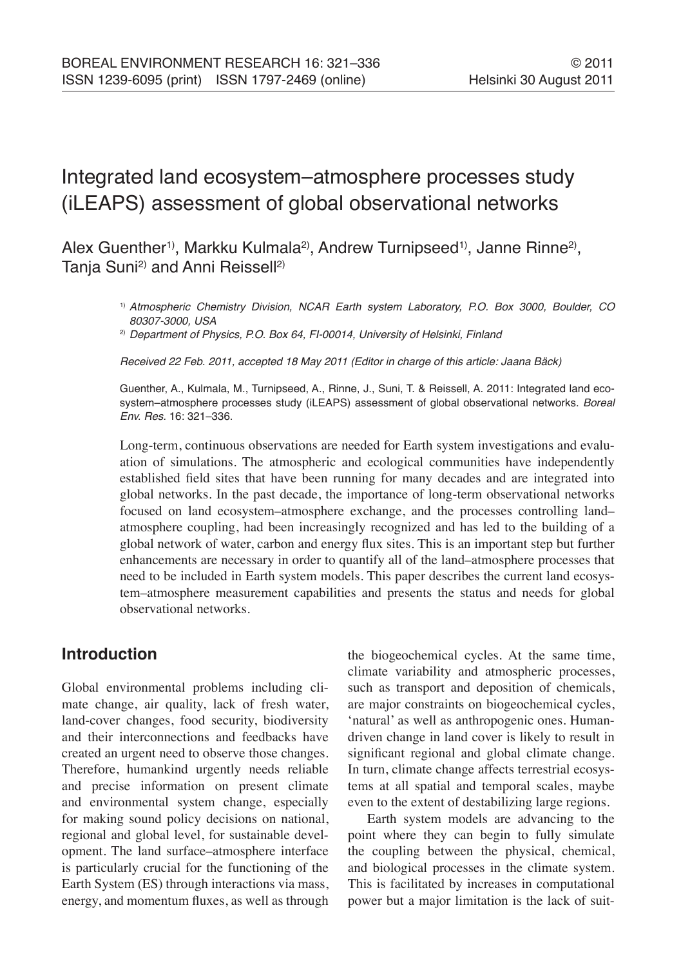# Integrated land ecosystem–atmosphere processes study (iLEAPS) assessment of global observational networks

Alex Guenther<sup>1)</sup>, Markku Kulmala<sup>2)</sup>, Andrew Turnipseed<sup>1)</sup>, Janne Rinne<sup>2)</sup>, Tanja Suni<sup>2)</sup> and Anni Reissell<sup>2)</sup>

> 1) Atmospheric Chemistry Division, NCAR Earth system Laboratory, P.O. Box 3000, Boulder, CO 80307-3000, USA

<sup>2)</sup> Department of Physics, P.O. Box 64, FI-00014, University of Helsinki, Finland

Received 22 Feb. 2011, accepted 18 May 2011 (Editor in charge of this article: Jaana Bäck)

Guenther, A., Kulmala, M., Turnipseed, A., Rinne, J., Suni, T. & Reissell, A. 2011: Integrated land ecosystem-atmosphere processes study (iLEAPS) assessment of global observational networks. Boreal Env. Res. 16: 321–336.

Long-term, continuous observations are needed for Earth system investigations and evaluation of simulations. The atmospheric and ecological communities have independently established field sites that have been running for many decades and are integrated into global networks. In the past decade, the importance of long-term observational networks focused on land ecosystem–atmosphere exchange, and the processes controlling land– atmosphere coupling, had been increasingly recognized and has led to the building of a global network of water, carbon and energy flux sites. This is an important step but further enhancements are necessary in order to quantify all of the land–atmosphere processes that need to be included in Earth system models. This paper describes the current land ecosystem–atmosphere measurement capabilities and presents the status and needs for global observational networks.

# **Introduction**

Global environmental problems including climate change, air quality, lack of fresh water, land-cover changes, food security, biodiversity and their interconnections and feedbacks have created an urgent need to observe those changes. Therefore, humankind urgently needs reliable and precise information on present climate and environmental system change, especially for making sound policy decisions on national, regional and global level, for sustainable development. The land surface–atmosphere interface is particularly crucial for the functioning of the Earth System (ES) through interactions via mass, energy, and momentum fluxes, as well as through the biogeochemical cycles. At the same time, climate variability and atmospheric processes, such as transport and deposition of chemicals, are major constraints on biogeochemical cycles, 'natural' as well as anthropogenic ones. Humandriven change in land cover is likely to result in significant regional and global climate change. In turn, climate change affects terrestrial ecosystems at all spatial and temporal scales, maybe even to the extent of destabilizing large regions.

Earth system models are advancing to the point where they can begin to fully simulate the coupling between the physical, chemical, and biological processes in the climate system. This is facilitated by increases in computational power but a major limitation is the lack of suit-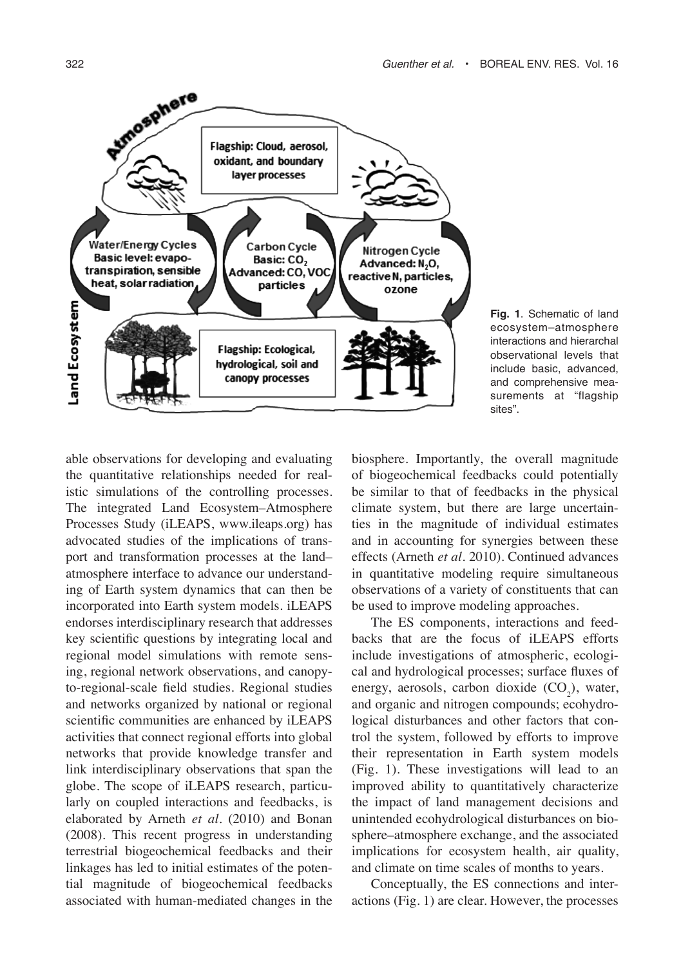

**Fig. 1**. Schematic of land ecosystem–atmosphere interactions and hierarchal observational levels that include basic, advanced, and comprehensive measurements at "flagship sites".

able observations for developing and evaluating the quantitative relationships needed for realistic simulations of the controlling processes. The integrated Land Ecosystem–Atmosphere Processes Study (iLEAPS, www.ileaps.org) has advocated studies of the implications of transport and transformation processes at the land– atmosphere interface to advance our understanding of Earth system dynamics that can then be incorporated into Earth system models. iLEAPS endorses interdisciplinary research that addresses key scientific questions by integrating local and regional model simulations with remote sensing, regional network observations, and canopyto-regional-scale field studies. Regional studies and networks organized by national or regional scientific communities are enhanced by iLEAPS activities that connect regional efforts into global networks that provide knowledge transfer and link interdisciplinary observations that span the globe. The scope of iLEAPS research, particularly on coupled interactions and feedbacks, is elaborated by Arneth *et al*. (2010) and Bonan (2008). This recent progress in understanding terrestrial biogeochemical feedbacks and their linkages has led to initial estimates of the potential magnitude of biogeochemical feedbacks associated with human-mediated changes in the

biosphere. Importantly, the overall magnitude of biogeochemical feedbacks could potentially be similar to that of feedbacks in the physical climate system, but there are large uncertainties in the magnitude of individual estimates and in accounting for synergies between these effects (Arneth *et al*. 2010). Continued advances in quantitative modeling require simultaneous observations of a variety of constituents that can be used to improve modeling approaches.

The ES components, interactions and feedbacks that are the focus of iLEAPS efforts include investigations of atmospheric, ecological and hydrological processes; surface fluxes of energy, aerosols, carbon dioxide  $(CO<sub>2</sub>)$ , water, and organic and nitrogen compounds; ecohydrological disturbances and other factors that control the system, followed by efforts to improve their representation in Earth system models (Fig. 1). These investigations will lead to an improved ability to quantitatively characterize the impact of land management decisions and unintended ecohydrological disturbances on biosphere–atmosphere exchange, and the associated implications for ecosystem health, air quality, and climate on time scales of months to years.

Conceptually, the ES connections and interactions (Fig. 1) are clear. However, the processes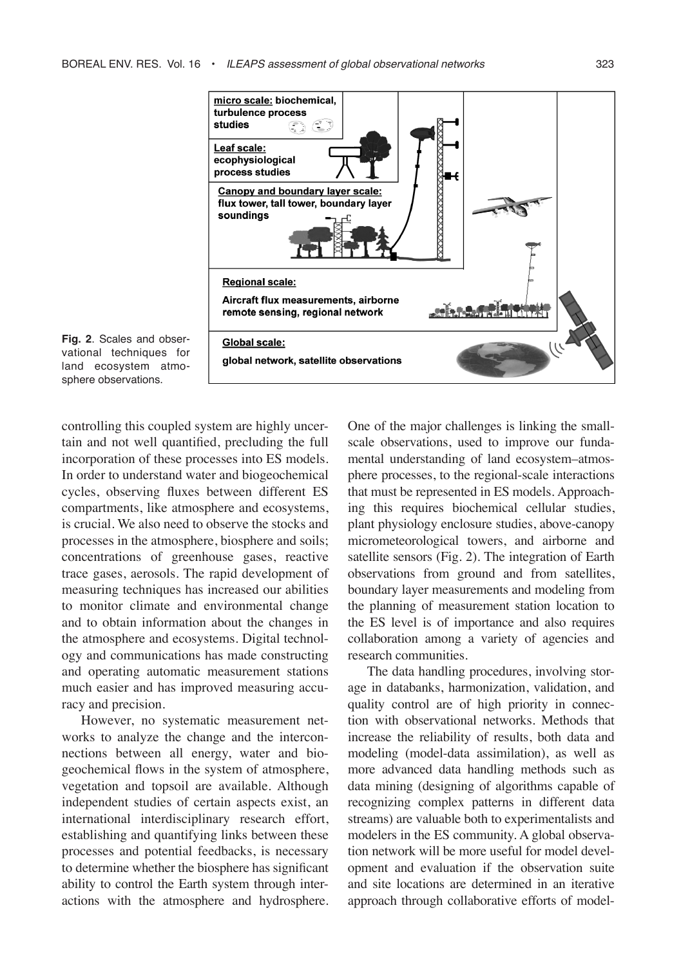



controlling this coupled system are highly uncertain and not well quantified, precluding the full incorporation of these processes into ES models. In order to understand water and biogeochemical cycles, observing fluxes between different ES compartments, like atmosphere and ecosystems, is crucial. We also need to observe the stocks and processes in the atmosphere, biosphere and soils; concentrations of greenhouse gases, reactive trace gases, aerosols. The rapid development of measuring techniques has increased our abilities to monitor climate and environmental change and to obtain information about the changes in the atmosphere and ecosystems. Digital technology and communications has made constructing and operating automatic measurement stations much easier and has improved measuring accuracy and precision.

However, no systematic measurement networks to analyze the change and the interconnections between all energy, water and biogeochemical flows in the system of atmosphere, vegetation and topsoil are available. Although independent studies of certain aspects exist, an international interdisciplinary research effort, establishing and quantifying links between these processes and potential feedbacks, is necessary to determine whether the biosphere has significant ability to control the Earth system through interactions with the atmosphere and hydrosphere. One of the major challenges is linking the smallscale observations, used to improve our fundamental understanding of land ecosystem–atmosphere processes, to the regional-scale interactions that must be represented in ES models. Approaching this requires biochemical cellular studies, plant physiology enclosure studies, above-canopy micrometeorological towers, and airborne and satellite sensors (Fig. 2). The integration of Earth observations from ground and from satellites, boundary layer measurements and modeling from the planning of measurement station location to the ES level is of importance and also requires collaboration among a variety of agencies and research communities.

The data handling procedures, involving storage in databanks, harmonization, validation, and quality control are of high priority in connection with observational networks. Methods that increase the reliability of results, both data and modeling (model-data assimilation), as well as more advanced data handling methods such as data mining (designing of algorithms capable of recognizing complex patterns in different data streams) are valuable both to experimentalists and modelers in the ES community. A global observation network will be more useful for model development and evaluation if the observation suite and site locations are determined in an iterative approach through collaborative efforts of model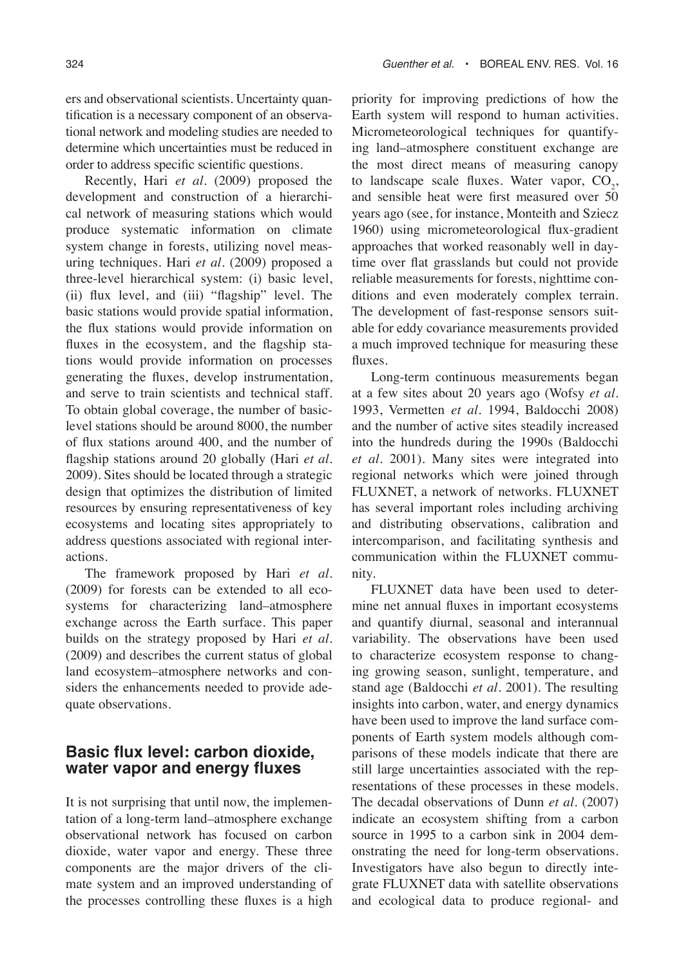ers and observational scientists. Uncertainty quantification is a necessary component of an observational network and modeling studies are needed to determine which uncertainties must be reduced in order to address specific scientific questions.

Recently, Hari *et al.* (2009) proposed the development and construction of a hierarchical network of measuring stations which would produce systematic information on climate system change in forests, utilizing novel measuring techniques. Hari *et al.* (2009) proposed a three-level hierarchical system: (i) basic level, (ii) flux level, and (iii) "flagship" level. The basic stations would provide spatial information, the flux stations would provide information on fluxes in the ecosystem, and the flagship stations would provide information on processes generating the fluxes, develop instrumentation, and serve to train scientists and technical staff. To obtain global coverage, the number of basiclevel stations should be around 8000, the number of flux stations around 400, and the number of flagship stations around 20 globally (Hari *et al.* 2009). Sites should be located through a strategic design that optimizes the distribution of limited resources by ensuring representativeness of key ecosystems and locating sites appropriately to address questions associated with regional interactions.

The framework proposed by Hari *et al.* (2009) for forests can be extended to all ecosystems for characterizing land–atmosphere exchange across the Earth surface. This paper builds on the strategy proposed by Hari *et al.* (2009) and describes the current status of global land ecosystem–atmosphere networks and considers the enhancements needed to provide adequate observations.

### **Basic flux level: carbon dioxide, water vapor and energy fluxes**

It is not surprising that until now, the implementation of a long-term land–atmosphere exchange observational network has focused on carbon dioxide, water vapor and energy. These three components are the major drivers of the climate system and an improved understanding of the processes controlling these fluxes is a high priority for improving predictions of how the Earth system will respond to human activities. Micrometeorological techniques for quantifying land–atmosphere constituent exchange are the most direct means of measuring canopy to landscape scale fluxes. Water vapor,  $CO<sub>2</sub>$ , and sensible heat were first measured over 50 years ago (see, for instance, Monteith and Sziecz 1960) using micrometeorological flux-gradient approaches that worked reasonably well in daytime over flat grasslands but could not provide reliable measurements for forests, nighttime conditions and even moderately complex terrain. The development of fast-response sensors suitable for eddy covariance measurements provided a much improved technique for measuring these fluxes.

Long-term continuous measurements began at a few sites about 20 years ago (Wofsy *et al.* 1993, Vermetten *et al.* 1994, Baldocchi 2008) and the number of active sites steadily increased into the hundreds during the 1990s (Baldocchi *et al.* 2001). Many sites were integrated into regional networks which were joined through FLUXNET, a network of networks. FLUXNET has several important roles including archiving and distributing observations, calibration and intercomparison, and facilitating synthesis and communication within the FLUXNET community.

FLUXNET data have been used to determine net annual fluxes in important ecosystems and quantify diurnal, seasonal and interannual variability. The observations have been used to characterize ecosystem response to changing growing season, sunlight, temperature, and stand age (Baldocchi *et al.* 2001). The resulting insights into carbon, water, and energy dynamics have been used to improve the land surface components of Earth system models although comparisons of these models indicate that there are still large uncertainties associated with the representations of these processes in these models. The decadal observations of Dunn *et al*. (2007) indicate an ecosystem shifting from a carbon source in 1995 to a carbon sink in 2004 demonstrating the need for long-term observations. Investigators have also begun to directly integrate FLUXNET data with satellite observations and ecological data to produce regional- and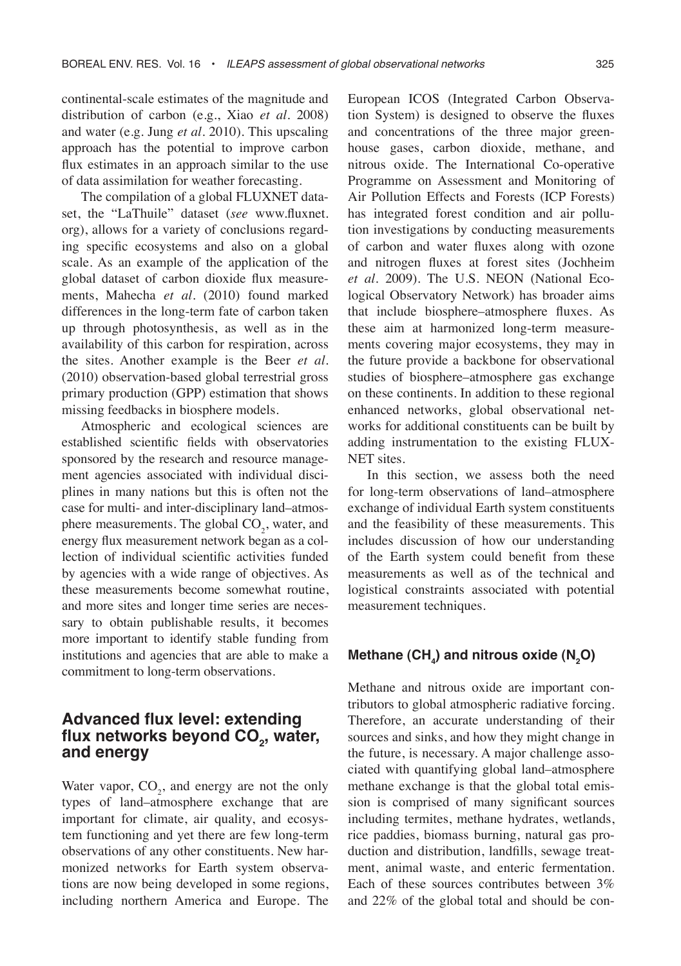continental-scale estimates of the magnitude and distribution of carbon (e.g., Xiao *et al.* 2008) and water (e.g. Jung *et al*. 2010). This upscaling approach has the potential to improve carbon flux estimates in an approach similar to the use of data assimilation for weather forecasting.

The compilation of a global FLUXNET dataset, the "LaThuile" dataset (*see* www.fluxnet. org), allows for a variety of conclusions regarding specific ecosystems and also on a global scale. As an example of the application of the global dataset of carbon dioxide flux measurements, Mahecha *et al*. (2010) found marked differences in the long-term fate of carbon taken up through photosynthesis, as well as in the availability of this carbon for respiration, across the sites. Another example is the Beer *et al*. (2010) observation-based global terrestrial gross primary production (GPP) estimation that shows missing feedbacks in biosphere models.

Atmospheric and ecological sciences are established scientific fields with observatories sponsored by the research and resource management agencies associated with individual disciplines in many nations but this is often not the case for multi- and inter-disciplinary land–atmosphere measurements. The global  $CO<sub>2</sub>$ , water, and energy flux measurement network began as a collection of individual scientific activities funded by agencies with a wide range of objectives. As these measurements become somewhat routine, and more sites and longer time series are necessary to obtain publishable results, it becomes more important to identify stable funding from institutions and agencies that are able to make a commitment to long-term observations.

### **Advanced flux level: extending**  flux networks beyond CO<sub>2</sub>, water, **and energy**

Water vapor,  $CO_2$ , and energy are not the only types of land–atmosphere exchange that are important for climate, air quality, and ecosystem functioning and yet there are few long-term observations of any other constituents. New harmonized networks for Earth system observations are now being developed in some regions, including northern America and Europe. The

European ICOS (Integrated Carbon Observation System) is designed to observe the fluxes and concentrations of the three major greenhouse gases, carbon dioxide, methane, and nitrous oxide. The International Co-operative Programme on Assessment and Monitoring of Air Pollution Effects and Forests (ICP Forests) has integrated forest condition and air pollution investigations by conducting measurements of carbon and water fluxes along with ozone and nitrogen fluxes at forest sites (Jochheim *et al*. 2009). The U.S. NEON (National Ecological Observatory Network) has broader aims that include biosphere–atmosphere fluxes. As these aim at harmonized long-term measurements covering major ecosystems, they may in the future provide a backbone for observational studies of biosphere–atmosphere gas exchange on these continents. In addition to these regional enhanced networks, global observational networks for additional constituents can be built by adding instrumentation to the existing FLUX-NET sites.

In this section, we assess both the need for long-term observations of land–atmosphere exchange of individual Earth system constituents and the feasibility of these measurements. This includes discussion of how our understanding of the Earth system could benefit from these measurements as well as of the technical and logistical constraints associated with potential measurement techniques.

# Methane (CH<sub>4</sub>) and nitrous oxide (N<sub>2</sub>O)

Methane and nitrous oxide are important contributors to global atmospheric radiative forcing. Therefore, an accurate understanding of their sources and sinks, and how they might change in the future, is necessary. A major challenge associated with quantifying global land–atmosphere methane exchange is that the global total emission is comprised of many significant sources including termites, methane hydrates, wetlands, rice paddies, biomass burning, natural gas production and distribution, landfills, sewage treatment, animal waste, and enteric fermentation. Each of these sources contributes between 3% and 22% of the global total and should be con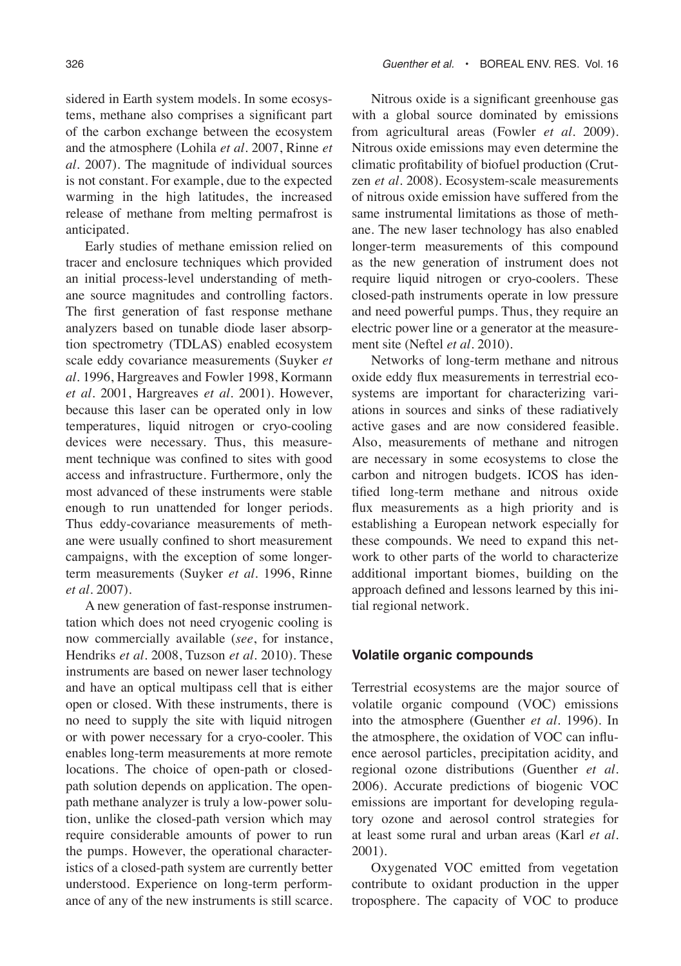sidered in Earth system models. In some ecosystems, methane also comprises a significant part of the carbon exchange between the ecosystem and the atmosphere (Lohila *et al*. 2007, Rinne *et al*. 2007). The magnitude of individual sources is not constant. For example, due to the expected warming in the high latitudes, the increased release of methane from melting permafrost is anticipated.

Early studies of methane emission relied on tracer and enclosure techniques which provided an initial process-level understanding of methane source magnitudes and controlling factors. The first generation of fast response methane analyzers based on tunable diode laser absorption spectrometry (TDLAS) enabled ecosystem scale eddy covariance measurements (Suyker *et al*. 1996, Hargreaves and Fowler 1998, Kormann *et al*. 2001, Hargreaves *et al*. 2001). However, because this laser can be operated only in low temperatures, liquid nitrogen or cryo-cooling devices were necessary. Thus, this measurement technique was confined to sites with good access and infrastructure. Furthermore, only the most advanced of these instruments were stable enough to run unattended for longer periods. Thus eddy-covariance measurements of methane were usually confined to short measurement campaigns, with the exception of some longerterm measurements (Suyker *et al*. 1996, Rinne *et al*. 2007).

A new generation of fast-response instrumentation which does not need cryogenic cooling is now commercially available (*see*, for instance, Hendriks *et al*. 2008, Tuzson *et al*. 2010). These instruments are based on newer laser technology and have an optical multipass cell that is either open or closed. With these instruments, there is no need to supply the site with liquid nitrogen or with power necessary for a cryo-cooler. This enables long-term measurements at more remote locations. The choice of open-path or closedpath solution depends on application. The openpath methane analyzer is truly a low-power solution, unlike the closed-path version which may require considerable amounts of power to run the pumps. However, the operational characteristics of a closed-path system are currently better understood. Experience on long-term performance of any of the new instruments is still scarce.

Nitrous oxide is a significant greenhouse gas with a global source dominated by emissions from agricultural areas (Fowler *et al*. 2009). Nitrous oxide emissions may even determine the climatic profitability of biofuel production (Crutzen *et al*. 2008). Ecosystem-scale measurements of nitrous oxide emission have suffered from the same instrumental limitations as those of methane. The new laser technology has also enabled longer-term measurements of this compound as the new generation of instrument does not require liquid nitrogen or cryo-coolers. These closed-path instruments operate in low pressure and need powerful pumps. Thus, they require an electric power line or a generator at the measurement site (Neftel *et al*. 2010).

Networks of long-term methane and nitrous oxide eddy flux measurements in terrestrial ecosystems are important for characterizing variations in sources and sinks of these radiatively active gases and are now considered feasible. Also, measurements of methane and nitrogen are necessary in some ecosystems to close the carbon and nitrogen budgets. ICOS has identified long-term methane and nitrous oxide flux measurements as a high priority and is establishing a European network especially for these compounds. We need to expand this network to other parts of the world to characterize additional important biomes, building on the approach defined and lessons learned by this initial regional network.

#### **Volatile organic compounds**

Terrestrial ecosystems are the major source of volatile organic compound (VOC) emissions into the atmosphere (Guenther *et al*. 1996). In the atmosphere, the oxidation of VOC can influence aerosol particles, precipitation acidity, and regional ozone distributions (Guenther *et al*. 2006). Accurate predictions of biogenic VOC emissions are important for developing regulatory ozone and aerosol control strategies for at least some rural and urban areas (Karl *et al*. 2001).

Oxygenated VOC emitted from vegetation contribute to oxidant production in the upper troposphere. The capacity of VOC to produce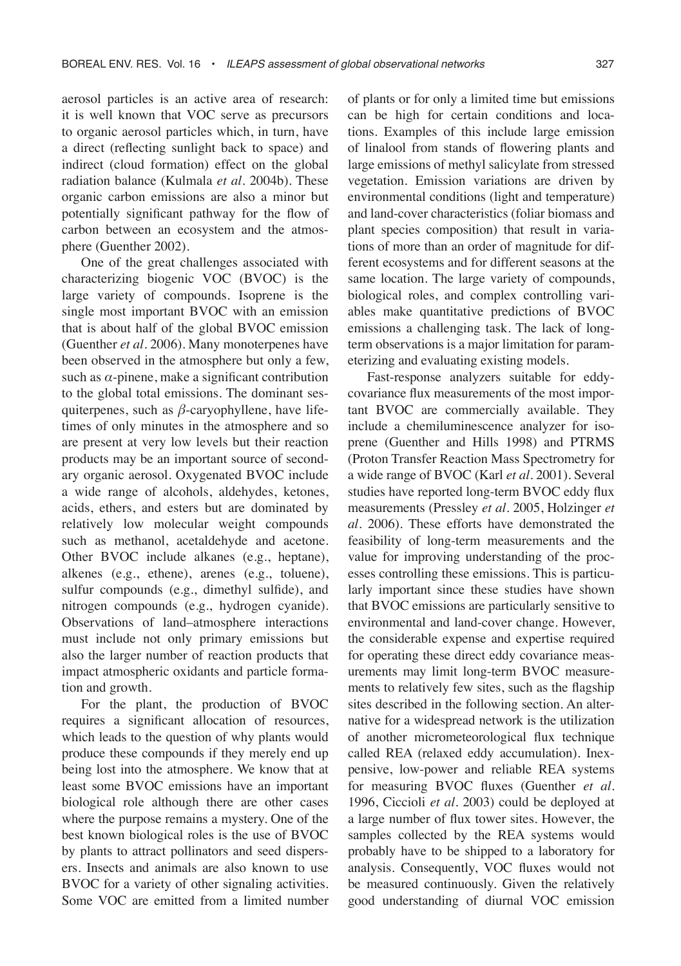aerosol particles is an active area of research: it is well known that VOC serve as precursors to organic aerosol particles which, in turn, have a direct (reflecting sunlight back to space) and indirect (cloud formation) effect on the global radiation balance (Kulmala *et al*. 2004b). These organic carbon emissions are also a minor but potentially significant pathway for the flow of carbon between an ecosystem and the atmosphere (Guenther 2002).

One of the great challenges associated with characterizing biogenic VOC (BVOC) is the large variety of compounds. Isoprene is the single most important BVOC with an emission that is about half of the global BVOC emission (Guenther *et al*. 2006). Many monoterpenes have been observed in the atmosphere but only a few, such as  $\alpha$ -pinene, make a significant contribution to the global total emissions. The dominant sesquiterpenes, such as *β*-caryophyllene, have lifetimes of only minutes in the atmosphere and so are present at very low levels but their reaction products may be an important source of secondary organic aerosol. Oxygenated BVOC include a wide range of alcohols, aldehydes, ketones, acids, ethers, and esters but are dominated by relatively low molecular weight compounds such as methanol, acetaldehyde and acetone. Other BVOC include alkanes (e.g., heptane), alkenes (e.g., ethene), arenes (e.g., toluene), sulfur compounds (e.g., dimethyl sulfide), and nitrogen compounds (e.g., hydrogen cyanide). Observations of land–atmosphere interactions must include not only primary emissions but also the larger number of reaction products that impact atmospheric oxidants and particle formation and growth.

For the plant, the production of BVOC requires a significant allocation of resources, which leads to the question of why plants would produce these compounds if they merely end up being lost into the atmosphere. We know that at least some BVOC emissions have an important biological role although there are other cases where the purpose remains a mystery. One of the best known biological roles is the use of BVOC by plants to attract pollinators and seed dispersers. Insects and animals are also known to use BVOC for a variety of other signaling activities. Some VOC are emitted from a limited number

of plants or for only a limited time but emissions can be high for certain conditions and locations. Examples of this include large emission of linalool from stands of flowering plants and large emissions of methyl salicylate from stressed vegetation. Emission variations are driven by environmental conditions (light and temperature) and land-cover characteristics (foliar biomass and plant species composition) that result in variations of more than an order of magnitude for different ecosystems and for different seasons at the same location. The large variety of compounds, biological roles, and complex controlling variables make quantitative predictions of BVOC emissions a challenging task. The lack of longterm observations is a major limitation for parameterizing and evaluating existing models.

Fast-response analyzers suitable for eddycovariance flux measurements of the most important BVOC are commercially available. They include a chemiluminescence analyzer for isoprene (Guenther and Hills 1998) and PTRMS (Proton Transfer Reaction Mass Spectrometry for a wide range of BVOC (Karl *et al*. 2001). Several studies have reported long-term BVOC eddy flux measurements (Pressley *et al*. 2005, Holzinger *et al*. 2006). These efforts have demonstrated the feasibility of long-term measurements and the value for improving understanding of the processes controlling these emissions. This is particularly important since these studies have shown that BVOC emissions are particularly sensitive to environmental and land-cover change. However, the considerable expense and expertise required for operating these direct eddy covariance measurements may limit long-term BVOC measurements to relatively few sites, such as the flagship sites described in the following section. An alternative for a widespread network is the utilization of another micrometeorological flux technique called REA (relaxed eddy accumulation). Inexpensive, low-power and reliable REA systems for measuring BVOC fluxes (Guenther *et al*. 1996, Ciccioli *et al*. 2003) could be deployed at a large number of flux tower sites. However, the samples collected by the REA systems would probably have to be shipped to a laboratory for analysis. Consequently, VOC fluxes would not be measured continuously. Given the relatively good understanding of diurnal VOC emission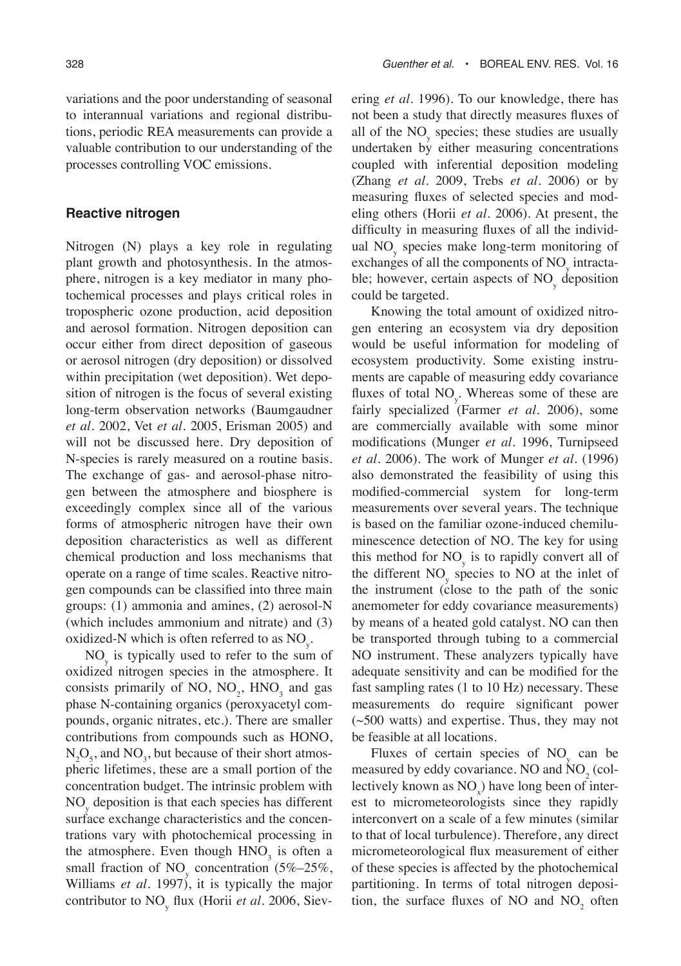variations and the poor understanding of seasonal to interannual variations and regional distributions, periodic REA measurements can provide a valuable contribution to our understanding of the processes controlling VOC emissions.

#### **Reactive nitrogen**

Nitrogen (N) plays a key role in regulating plant growth and photosynthesis. In the atmosphere, nitrogen is a key mediator in many photochemical processes and plays critical roles in tropospheric ozone production, acid deposition and aerosol formation. Nitrogen deposition can occur either from direct deposition of gaseous or aerosol nitrogen (dry deposition) or dissolved within precipitation (wet deposition). Wet deposition of nitrogen is the focus of several existing long-term observation networks (Baumgaudner *et al*. 2002, Vet *et al*. 2005, Erisman 2005) and will not be discussed here. Dry deposition of N-species is rarely measured on a routine basis. The exchange of gas- and aerosol-phase nitrogen between the atmosphere and biosphere is exceedingly complex since all of the various forms of atmospheric nitrogen have their own deposition characteristics as well as different chemical production and loss mechanisms that operate on a range of time scales. Reactive nitrogen compounds can be classified into three main groups: (1) ammonia and amines, (2) aerosol-N (which includes ammonium and nitrate) and (3) oxidized-N which is often referred to as  $\text{NO}_y$ .

 $NO<sub>y</sub>$  is typically used to refer to the sum of oxidized nitrogen species in the atmosphere. It consists primarily of NO,  $NO_2$ ,  $HNO_3$  and gas phase N-containing organics (peroxyacetyl compounds, organic nitrates, etc.). There are smaller contributions from compounds such as HONO,  $N_2O_5$ , and  $NO_3$ , but because of their short atmospheric lifetimes, these are a small portion of the concentration budget. The intrinsic problem with NO<sub>y</sub> deposition is that each species has different surface exchange characteristics and the concentrations vary with photochemical processing in the atmosphere. Even though  $HNO<sub>3</sub>$  is often a small fraction of  $NO<sub>y</sub>$  concentration (5%–25%, Williams *et al*. 1997), it is typically the major contributor to NOy flux (Horii *et al*. 2006, Sievering *et al*. 1996). To our knowledge, there has not been a study that directly measures fluxes of all of the  $NO<sub>y</sub>$  species; these studies are usually undertaken by either measuring concentrations coupled with inferential deposition modeling (Zhang *et al*. 2009, Trebs *et al*. 2006) or by measuring fluxes of selected species and modeling others (Horii *et al*. 2006). At present, the difficulty in measuring fluxes of all the individual NO<sub>y</sub> species make long-term monitoring of exchanges of all the components of  $\mathrm{NO}_\mathrm{y}$  intractable; however, certain aspects of NO<sub>y</sub> deposition could be targeted.

Knowing the total amount of oxidized nitrogen entering an ecosystem via dry deposition would be useful information for modeling of ecosystem productivity. Some existing instruments are capable of measuring eddy covariance fluxes of total  $NO<sub>y</sub>$ . Whereas some of these are fairly specialized (Farmer *et al*. 2006), some are commercially available with some minor modifications (Munger *et al*. 1996, Turnipseed *et al*. 2006). The work of Munger *et al*. (1996) also demonstrated the feasibility of using this modified-commercial system for long-term measurements over several years. The technique is based on the familiar ozone-induced chemiluminescence detection of NO. The key for using this method for  $NO<sub>y</sub>$  is to rapidly convert all of the different  $NO<sub>y</sub>$  species to NO at the inlet of the instrument (close to the path of the sonic anemometer for eddy covariance measurements) by means of a heated gold catalyst. NO can then be transported through tubing to a commercial NO instrument. These analyzers typically have adequate sensitivity and can be modified for the fast sampling rates (1 to 10 Hz) necessary. These measurements do require significant power (~500 watts) and expertise. Thus, they may not be feasible at all locations.

Fluxes of certain species of  $NO<sub>y</sub>$  can be measured by eddy covariance. NO and  $\text{NO}_2^{\text{}}$  (collectively known as  $NO<sub>x</sub>$ ) have long been of interest to micrometeorologists since they rapidly interconvert on a scale of a few minutes (similar to that of local turbulence). Therefore, any direct micrometeorological flux measurement of either of these species is affected by the photochemical partitioning. In terms of total nitrogen deposition, the surface fluxes of NO and  $NO<sub>2</sub>$  often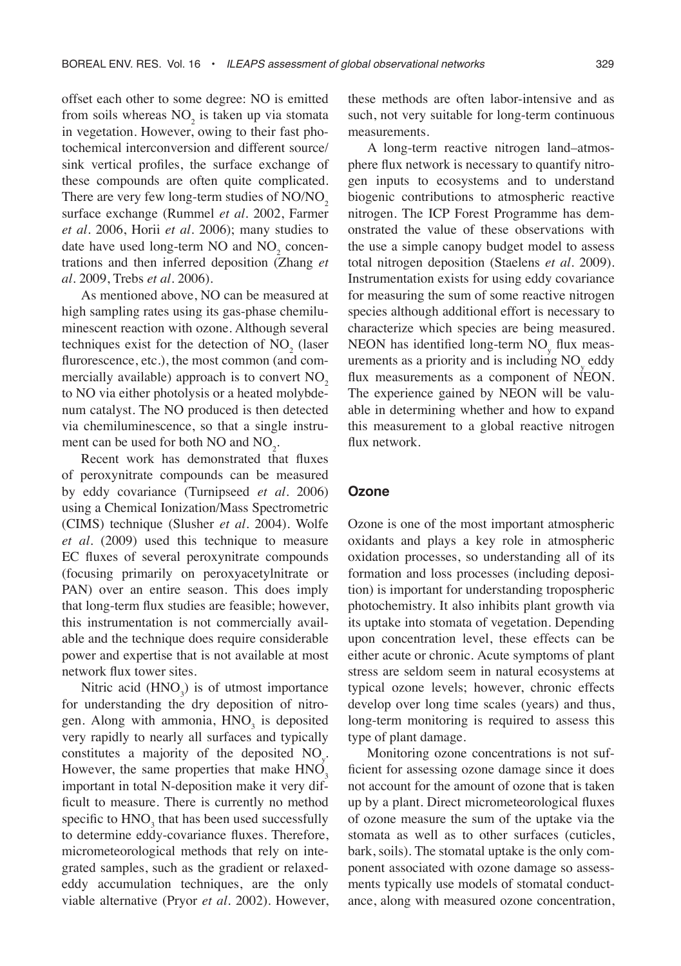offset each other to some degree: NO is emitted from soils whereas  $NO<sub>2</sub>$  is taken up via stomata in vegetation. However, owing to their fast photochemical interconversion and different source/ sink vertical profiles, the surface exchange of these compounds are often quite complicated. There are very few long-term studies of NO/NO<sub>2</sub> surface exchange (Rummel *et al*. 2002, Farmer *et al*. 2006, Horii *et al*. 2006); many studies to date have used long-term NO and  $NO<sub>2</sub>$  concentrations and then inferred deposition (Zhang *et al*. 2009, Trebs *et al*. 2006).

As mentioned above, NO can be measured at high sampling rates using its gas-phase chemiluminescent reaction with ozone. Although several techniques exist for the detection of  $NO<sub>2</sub>$  (laser flurorescence, etc.), the most common (and commercially available) approach is to convert  $NO<sub>2</sub>$ to NO via either photolysis or a heated molybdenum catalyst. The NO produced is then detected via chemiluminescence, so that a single instrument can be used for both NO and  $NO_2$ .

Recent work has demonstrated that fluxes of peroxynitrate compounds can be measured by eddy covariance (Turnipseed *et al*. 2006) using a Chemical Ionization/Mass Spectrometric (CIMS) technique (Slusher *et al*. 2004). Wolfe *et al*. (2009) used this technique to measure EC fluxes of several peroxynitrate compounds (focusing primarily on peroxyacetylnitrate or PAN) over an entire season. This does imply that long-term flux studies are feasible; however, this instrumentation is not commercially available and the technique does require considerable power and expertise that is not available at most network flux tower sites.

Nitric acid  $(HNO<sub>3</sub>)$  is of utmost importance for understanding the dry deposition of nitrogen. Along with ammonia,  $HNO<sub>3</sub>$  is deposited very rapidly to nearly all surfaces and typically constitutes a majority of the deposited  $NO<sub>y</sub>$ . However, the same properties that make  $HNO<sub>3</sub>$ important in total N-deposition make it very difficult to measure. There is currently no method specific to  $HNO<sub>3</sub>$  that has been used successfully to determine eddy-covariance fluxes. Therefore, micrometeorological methods that rely on integrated samples, such as the gradient or relaxededdy accumulation techniques, are the only viable alternative (Pryor *et al*. 2002). However,

these methods are often labor-intensive and as such, not very suitable for long-term continuous measurements.

A long-term reactive nitrogen land–atmosphere flux network is necessary to quantify nitrogen inputs to ecosystems and to understand biogenic contributions to atmospheric reactive nitrogen. The ICP Forest Programme has demonstrated the value of these observations with the use a simple canopy budget model to assess total nitrogen deposition (Staelens *et al*. 2009). Instrumentation exists for using eddy covariance for measuring the sum of some reactive nitrogen species although additional effort is necessary to characterize which species are being measured. NEON has identified long-term  $NO<sub>y</sub>$  flux measurements as a priority and is including  $NO<sub>y</sub>$  eddy flux measurements as a component of NEON. The experience gained by NEON will be valuable in determining whether and how to expand this measurement to a global reactive nitrogen flux network.

#### **Ozone**

Ozone is one of the most important atmospheric oxidants and plays a key role in atmospheric oxidation processes, so understanding all of its formation and loss processes (including deposition) is important for understanding tropospheric photochemistry. It also inhibits plant growth via its uptake into stomata of vegetation. Depending upon concentration level, these effects can be either acute or chronic. Acute symptoms of plant stress are seldom seem in natural ecosystems at typical ozone levels; however, chronic effects develop over long time scales (years) and thus, long-term monitoring is required to assess this type of plant damage.

Monitoring ozone concentrations is not sufficient for assessing ozone damage since it does not account for the amount of ozone that is taken up by a plant. Direct micrometeorological fluxes of ozone measure the sum of the uptake via the stomata as well as to other surfaces (cuticles, bark, soils). The stomatal uptake is the only component associated with ozone damage so assessments typically use models of stomatal conductance, along with measured ozone concentration,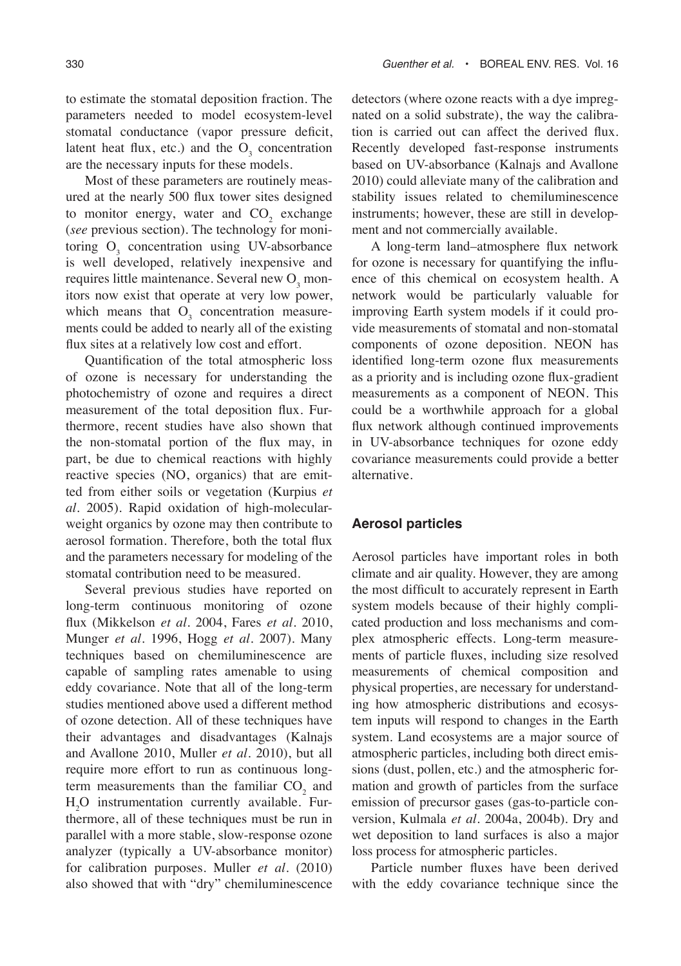to estimate the stomatal deposition fraction. The parameters needed to model ecosystem-level stomatal conductance (vapor pressure deficit, latent heat flux, etc.) and the  $O_3$  concentration are the necessary inputs for these models.

Most of these parameters are routinely measured at the nearly 500 flux tower sites designed to monitor energy, water and  $CO<sub>2</sub>$  exchange (*see* previous section). The technology for monitoring  $O_3$  concentration using UV-absorbance is well developed, relatively inexpensive and requires little maintenance. Several new  $O_3$  monitors now exist that operate at very low power, which means that  $O_3$  concentration measurements could be added to nearly all of the existing flux sites at a relatively low cost and effort.

Quantification of the total atmospheric loss of ozone is necessary for understanding the photochemistry of ozone and requires a direct measurement of the total deposition flux. Furthermore, recent studies have also shown that the non-stomatal portion of the flux may, in part, be due to chemical reactions with highly reactive species (NO, organics) that are emitted from either soils or vegetation (Kurpius *et al*. 2005). Rapid oxidation of high-molecularweight organics by ozone may then contribute to aerosol formation. Therefore, both the total flux and the parameters necessary for modeling of the stomatal contribution need to be measured.

Several previous studies have reported on long-term continuous monitoring of ozone flux (Mikkelson *et al*. 2004, Fares *et al*. 2010, Munger *et al*. 1996, Hogg *et al*. 2007). Many techniques based on chemiluminescence are capable of sampling rates amenable to using eddy covariance. Note that all of the long-term studies mentioned above used a different method of ozone detection. All of these techniques have their advantages and disadvantages (Kalnajs and Avallone 2010, Muller *et al*. 2010), but all require more effort to run as continuous longterm measurements than the familiar  $CO<sub>2</sub>$  and H2 O instrumentation currently available. Furthermore, all of these techniques must be run in parallel with a more stable, slow-response ozone analyzer (typically a UV-absorbance monitor) for calibration purposes. Muller *et al*. (2010) also showed that with "dry" chemiluminescence

detectors (where ozone reacts with a dye impregnated on a solid substrate), the way the calibration is carried out can affect the derived flux. Recently developed fast-response instruments based on UV-absorbance (Kalnajs and Avallone 2010) could alleviate many of the calibration and stability issues related to chemiluminescence instruments; however, these are still in development and not commercially available.

A long-term land–atmosphere flux network for ozone is necessary for quantifying the influence of this chemical on ecosystem health. A network would be particularly valuable for improving Earth system models if it could provide measurements of stomatal and non-stomatal components of ozone deposition. NEON has identified long-term ozone flux measurements as a priority and is including ozone flux-gradient measurements as a component of NEON. This could be a worthwhile approach for a global flux network although continued improvements in UV-absorbance techniques for ozone eddy covariance measurements could provide a better alternative.

#### **Aerosol particles**

Aerosol particles have important roles in both climate and air quality. However, they are among the most difficult to accurately represent in Earth system models because of their highly complicated production and loss mechanisms and complex atmospheric effects. Long-term measurements of particle fluxes, including size resolved measurements of chemical composition and physical properties, are necessary for understanding how atmospheric distributions and ecosystem inputs will respond to changes in the Earth system. Land ecosystems are a major source of atmospheric particles, including both direct emissions (dust, pollen, etc.) and the atmospheric formation and growth of particles from the surface emission of precursor gases (gas-to-particle conversion, Kulmala *et al*. 2004a, 2004b). Dry and wet deposition to land surfaces is also a major loss process for atmospheric particles.

Particle number fluxes have been derived with the eddy covariance technique since the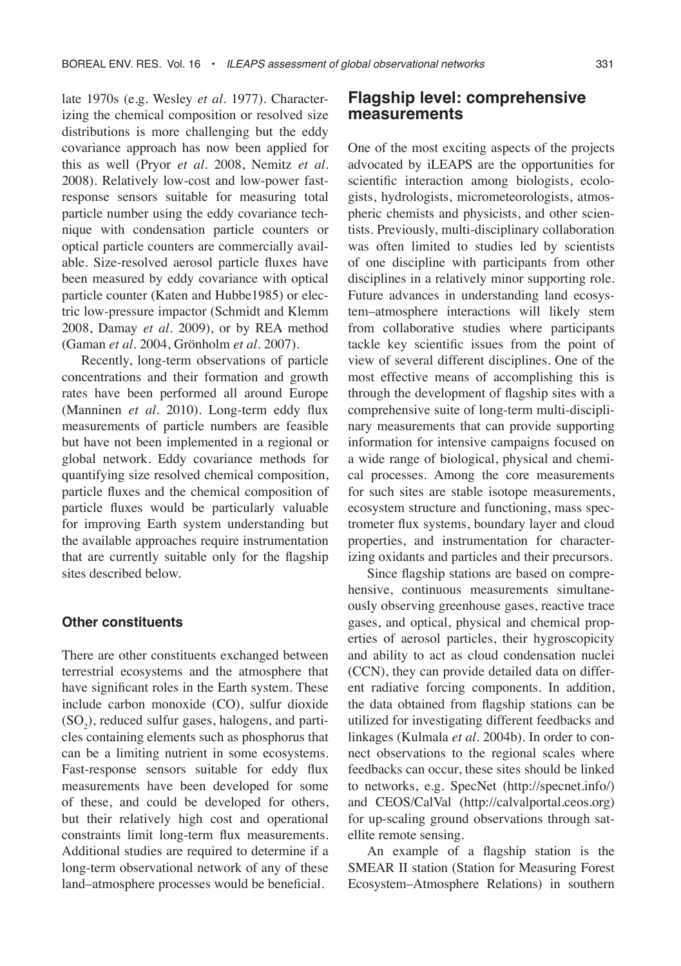late 1970s (e.g. Wesley *et al*. 1977). Characterizing the chemical composition or resolved size distributions is more challenging but the eddy covariance approach has now been applied for this as well (Pryor *et al*. 2008, Nemitz *et al*. 2008). Relatively low-cost and low-power fastresponse sensors suitable for measuring total particle number using the eddy covariance technique with condensation particle counters or optical particle counters are commercially available. Size-resolved aerosol particle fluxes have been measured by eddy covariance with optical particle counter (Katen and Hubbe1985) or electric low-pressure impactor (Schmidt and Klemm 2008, Damay *et al*. 2009), or by REA method (Gaman *et al*. 2004, Grönholm *et al*. 2007).

Recently, long-term observations of particle concentrations and their formation and growth rates have been performed all around Europe (Manninen *et al*. 2010). Long-term eddy flux measurements of particle numbers are feasible but have not been implemented in a regional or global network. Eddy covariance methods for quantifying size resolved chemical composition, particle fluxes and the chemical composition of particle fluxes would be particularly valuable for improving Earth system understanding but the available approaches require instrumentation that are currently suitable only for the flagship sites described below.

#### **Other constituents**

There are other constituents exchanged between terrestrial ecosystems and the atmosphere that have significant roles in the Earth system. These include carbon monoxide (CO), sulfur dioxide  $(SO_2)$ , reduced sulfur gases, halogens, and particles containing elements such as phosphorus that can be a limiting nutrient in some ecosystems. Fast-response sensors suitable for eddy flux measurements have been developed for some of these, and could be developed for others, but their relatively high cost and operational constraints limit long-term flux measurements. Additional studies are required to determine if a long-term observational network of any of these land–atmosphere processes would be beneficial.

### **Flagship level: comprehensive measurements**

One of the most exciting aspects of the projects advocated by iLEAPS are the opportunities for scientific interaction among biologists, ecologists, hydrologists, micrometeorologists, atmospheric chemists and physicists, and other scientists. Previously, multi-disciplinary collaboration was often limited to studies led by scientists of one discipline with participants from other disciplines in a relatively minor supporting role. Future advances in understanding land ecosystem–atmosphere interactions will likely stem from collaborative studies where participants tackle key scientific issues from the point of view of several different disciplines. One of the most effective means of accomplishing this is through the development of flagship sites with a comprehensive suite of long-term multi-disciplinary measurements that can provide supporting information for intensive campaigns focused on a wide range of biological, physical and chemical processes. Among the core measurements for such sites are stable isotope measurements, ecosystem structure and functioning, mass spectrometer flux systems, boundary layer and cloud properties, and instrumentation for characterizing oxidants and particles and their precursors.

Since flagship stations are based on comprehensive, continuous measurements simultaneously observing greenhouse gases, reactive trace gases, and optical, physical and chemical properties of aerosol particles, their hygroscopicity and ability to act as cloud condensation nuclei (CCN), they can provide detailed data on different radiative forcing components. In addition, the data obtained from flagship stations can be utilized for investigating different feedbacks and linkages (Kulmala *et al.* 2004b). In order to connect observations to the regional scales where feedbacks can occur, these sites should be linked to networks, e.g. SpecNet (http://specnet.info/) and CEOS/CalVal (http://calvalportal.ceos.org) for up-scaling ground observations through satellite remote sensing.

An example of a flagship station is the SMEAR II station (Station for Measuring Forest Ecosystem–Atmosphere Relations) in southern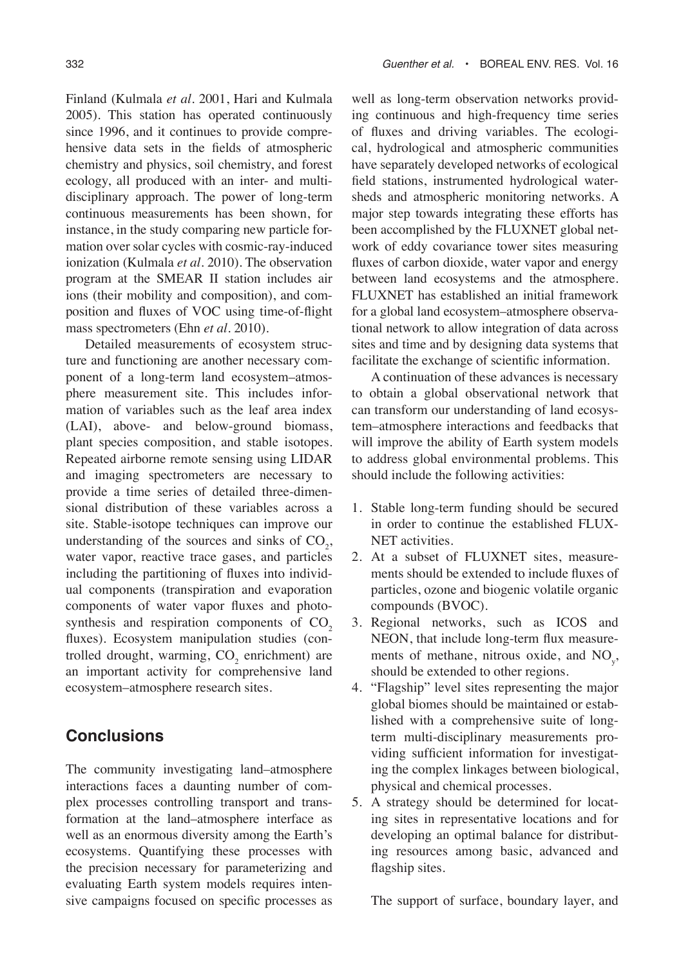Finland (Kulmala *et al.* 2001, Hari and Kulmala 2005). This station has operated continuously since 1996, and it continues to provide comprehensive data sets in the fields of atmospheric chemistry and physics, soil chemistry, and forest ecology, all produced with an inter- and multidisciplinary approach. The power of long-term continuous measurements has been shown, for instance, in the study comparing new particle formation over solar cycles with cosmic-ray-induced ionization (Kulmala *et al.* 2010). The observation program at the SMEAR II station includes air ions (their mobility and composition), and composition and fluxes of VOC using time-of-flight mass spectrometers (Ehn *et al.* 2010).

Detailed measurements of ecosystem structure and functioning are another necessary component of a long-term land ecosystem–atmosphere measurement site. This includes information of variables such as the leaf area index (LAI), above- and below-ground biomass, plant species composition, and stable isotopes. Repeated airborne remote sensing using LIDAR and imaging spectrometers are necessary to provide a time series of detailed three-dimensional distribution of these variables across a site. Stable-isotope techniques can improve our understanding of the sources and sinks of  $CO<sub>2</sub>$ , water vapor, reactive trace gases, and particles including the partitioning of fluxes into individual components (transpiration and evaporation components of water vapor fluxes and photosynthesis and respiration components of  $CO<sub>2</sub>$ fluxes). Ecosystem manipulation studies (controlled drought, warming,  $CO_2$  enrichment) are an important activity for comprehensive land ecosystem–atmosphere research sites.

# **Conclusions**

The community investigating land–atmosphere interactions faces a daunting number of complex processes controlling transport and transformation at the land–atmosphere interface as well as an enormous diversity among the Earth's ecosystems. Quantifying these processes with the precision necessary for parameterizing and evaluating Earth system models requires intensive campaigns focused on specific processes as

well as long-term observation networks providing continuous and high-frequency time series of fluxes and driving variables. The ecological, hydrological and atmospheric communities have separately developed networks of ecological field stations, instrumented hydrological watersheds and atmospheric monitoring networks. A major step towards integrating these efforts has been accomplished by the FLUXNET global network of eddy covariance tower sites measuring fluxes of carbon dioxide, water vapor and energy between land ecosystems and the atmosphere. FLUXNET has established an initial framework for a global land ecosystem–atmosphere observational network to allow integration of data across sites and time and by designing data systems that facilitate the exchange of scientific information.

A continuation of these advances is necessary to obtain a global observational network that can transform our understanding of land ecosystem–atmosphere interactions and feedbacks that will improve the ability of Earth system models to address global environmental problems. This should include the following activities:

- 1. Stable long-term funding should be secured in order to continue the established FLUX-NET activities.
- 2. At a subset of FLUXNET sites, measurements should be extended to include fluxes of particles, ozone and biogenic volatile organic compounds (BVOC).
- 3. Regional networks, such as ICOS and NEON, that include long-term flux measurements of methane, nitrous oxide, and  $NO<sub>y</sub>$ , should be extended to other regions.
- 4. "Flagship" level sites representing the major global biomes should be maintained or established with a comprehensive suite of longterm multi-disciplinary measurements providing sufficient information for investigating the complex linkages between biological, physical and chemical processes.
- 5. A strategy should be determined for locating sites in representative locations and for developing an optimal balance for distributing resources among basic, advanced and flagship sites.

The support of surface, boundary layer, and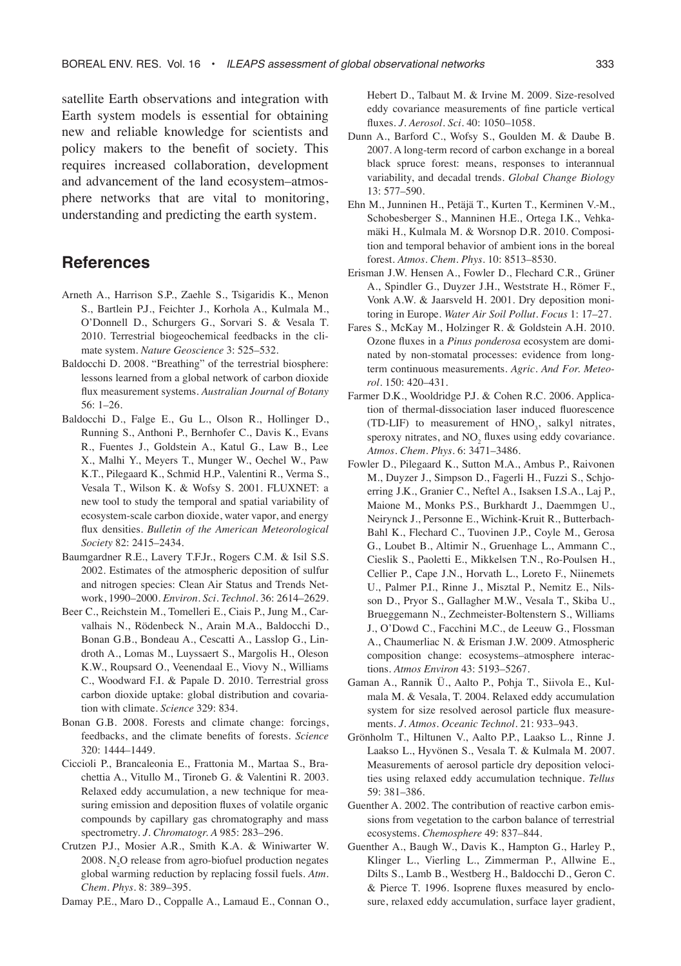satellite Earth observations and integration with Earth system models is essential for obtaining new and reliable knowledge for scientists and policy makers to the benefit of society. This requires increased collaboration, development and advancement of the land ecosystem–atmosphere networks that are vital to monitoring, understanding and predicting the earth system.

### **References**

- Arneth A., Harrison S.P., Zaehle S., Tsigaridis K., Menon S., Bartlein P.J., Feichter J., Korhola A., Kulmala M., O'Donnell D., Schurgers G., Sorvari S. & Vesala T. 2010. Terrestrial biogeochemical feedbacks in the climate system. *Nature Geoscience* 3: 525–532.
- Baldocchi D. 2008. "Breathing" of the terrestrial biosphere: lessons learned from a global network of carbon dioxide flux measurement systems. *Australian Journal of Botany* 56: 1–26.
- Baldocchi D., Falge E., Gu L., Olson R., Hollinger D., Running S., Anthoni P., Bernhofer C., Davis K., Evans R., Fuentes J., Goldstein A., Katul G., Law B., Lee X., Malhi Y., Meyers T., Munger W., Oechel W., Paw K.T., Pilegaard K., Schmid H.P., Valentini R., Verma S., Vesala T., Wilson K. & Wofsy S. 2001. FLUXNET: a new tool to study the temporal and spatial variability of ecosystem-scale carbon dioxide, water vapor, and energy flux densities. *Bulletin of the American Meteorological Society* 82: 2415–2434.
- Baumgardner R.E., Lavery T.F.Jr., Rogers C.M. & Isil S.S. 2002. Estimates of the atmospheric deposition of sulfur and nitrogen species: Clean Air Status and Trends Network, 1990–2000. *Environ. Sci. Technol*. 36: 2614–2629.
- Beer C., Reichstein M., Tomelleri E., Ciais P., Jung M., Carvalhais N., Rödenbeck N., Arain M.A., Baldocchi D., Bonan G.B., Bondeau A., Cescatti A., Lasslop G., Lindroth A., Lomas M., Luyssaert S., Margolis H., Oleson K.W., Roupsard O., Veenendaal E., Viovy N., Williams C., Woodward F.I. & Papale D. 2010. Terrestrial gross carbon dioxide uptake: global distribution and covariation with climate. *Science* 329: 834.
- Bonan G.B. 2008. Forests and climate change: forcings, feedbacks, and the climate benefits of forests. *Science* 320: 1444–1449.
- Ciccioli P., Brancaleonia E., Frattonia M., Martaa S., Brachettia A., Vitullo M., Tironeb G. & Valentini R. 2003. Relaxed eddy accumulation, a new technique for measuring emission and deposition fluxes of volatile organic compounds by capillary gas chromatography and mass spectrometry. *J. Chromatogr. A* 985: 283–296.
- Crutzen P.J., Mosier A.R., Smith K.A. & Winiwarter W. 2008.  $N_2O$  release from agro-biofuel production negates global warming reduction by replacing fossil fuels. *Atm. Chem. Phys.* 8: 389–395.

Damay P.E., Maro D., Coppalle A., Lamaud E., Connan O.,

Hebert D., Talbaut M. & Irvine M. 2009. Size-resolved eddy covariance measurements of fine particle vertical fluxes. *J. Aerosol. Sci.* 40: 1050–1058.

- Dunn A., Barford C., Wofsy S., Goulden M. & Daube B. 2007. A long-term record of carbon exchange in a boreal black spruce forest: means, responses to interannual variability, and decadal trends. *Global Change Biology*  13: 577–590.
- Ehn M., Junninen H., Petäjä T., Kurten T., Kerminen V.-M., Schobesberger S., Manninen H.E., Ortega I.K., Vehkamäki H., Kulmala M. & Worsnop D.R. 2010. Composition and temporal behavior of ambient ions in the boreal forest. *Atmos. Chem. Phys*. 10: 8513–8530.
- Erisman J.W. Hensen A., Fowler D., Flechard C.R., Grüner A., Spindler G., Duyzer J.H., Weststrate H., Römer F., Vonk A.W. & Jaarsveld H. 2001. Dry deposition monitoring in Europe. *Water Air Soil Pollut. Focus* 1: 17–27.
- Fares S., McKay M., Holzinger R. & Goldstein A.H. 2010. Ozone fluxes in a *Pinus ponderosa* ecosystem are dominated by non-stomatal processes: evidence from longterm continuous measurements. *Agric. And For. Meteorol.* 150: 420–431.
- Farmer D.K., Wooldridge P.J. & Cohen R.C. 2006. Application of thermal-dissociation laser induced fluorescence (TD-LIF) to measurement of  $HNO<sub>3</sub>$ , salkyl nitrates, speroxy nitrates, and  $NO<sub>2</sub>$  fluxes using eddy covariance. *Atmos. Chem. Phys.* 6: 3471–3486.
- Fowler D., Pilegaard K., Sutton M.A., Ambus P., Raivonen M., Duyzer J., Simpson D., Fagerli H., Fuzzi S., Schjoerring J.K., Granier C., Neftel A., Isaksen I.S.A., Laj P., Maione M., Monks P.S., Burkhardt J., Daemmgen U., Neirynck J., Personne E., Wichink-Kruit R., Butterbach-Bahl K., Flechard C., Tuovinen J.P., Coyle M., Gerosa G., Loubet B., Altimir N., Gruenhage L., Ammann C., Cieslik S., Paoletti E., Mikkelsen T.N., Ro-Poulsen H., Cellier P., Cape J.N., Horvath L., Loreto F., Niinemets U., Palmer P.I., Rinne J., Misztal P., Nemitz E., Nilsson D., Pryor S., Gallagher M.W., Vesala T., Skiba U., Brueggemann N., Zechmeister-Boltenstern S., Williams J., O'Dowd C., Facchini M.C., de Leeuw G., Flossman A., Chaumerliac N. & Erisman J.W. 2009. Atmospheric composition change: ecosystems–atmosphere interactions. *Atmos Environ* 43: 5193–5267.
- Gaman A., Rannik Ü., Aalto P., Pohja T., Siivola E., Kulmala M. & Vesala, T. 2004. Relaxed eddy accumulation system for size resolved aerosol particle flux measurements. *J. Atmos. Oceanic Technol.* 21: 933–943.
- Grönholm T., Hiltunen V., Aalto P.P., Laakso L., Rinne J. Laakso L., Hyvönen S., Vesala T. & Kulmala M. 2007. Measurements of aerosol particle dry deposition velocities using relaxed eddy accumulation technique. *Tellus*  59: 381–386.
- Guenther A. 2002. The contribution of reactive carbon emissions from vegetation to the carbon balance of terrestrial ecosystems. *Chemosphere* 49: 837–844.
- Guenther A., Baugh W., Davis K., Hampton G., Harley P., Klinger L., Vierling L., Zimmerman P., Allwine E., Dilts S., Lamb B., Westberg H., Baldocchi D., Geron C. & Pierce T. 1996. Isoprene fluxes measured by enclosure, relaxed eddy accumulation, surface layer gradient,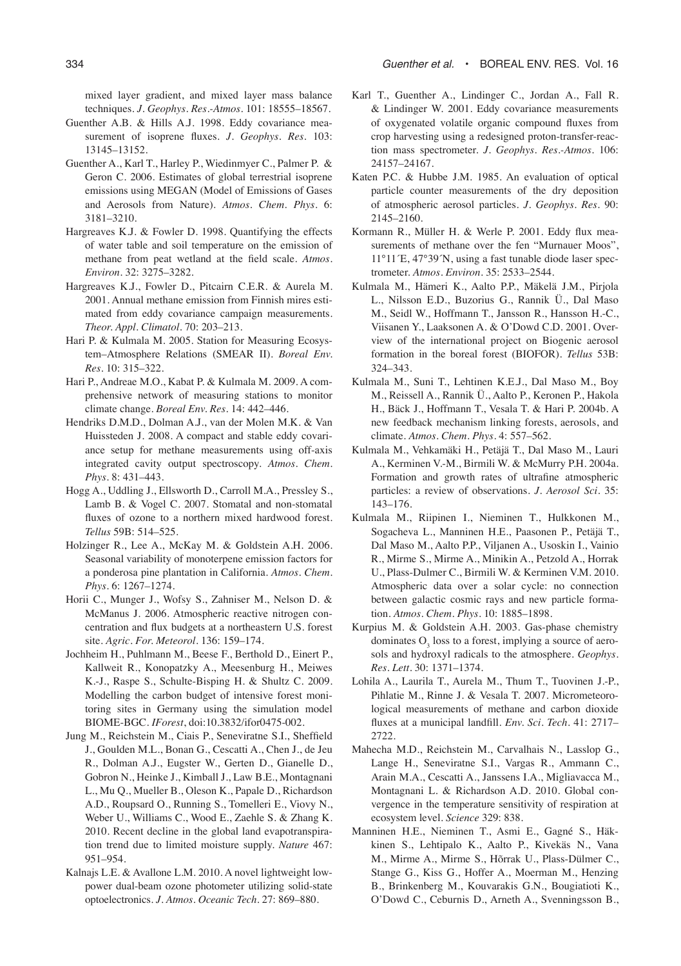mixed layer gradient, and mixed layer mass balance techniques. *J. Geophys. Res.-Atmos.* 101: 18555–18567.

- Guenther A.B. & Hills A.J. 1998. Eddy covariance measurement of isoprene fluxes. *J. Geophys. Res.* 103: 13145–13152.
- Guenther A., Karl T., Harley P., Wiedinmyer C., Palmer P. & Geron C. 2006. Estimates of global terrestrial isoprene emissions using MEGAN (Model of Emissions of Gases and Aerosols from Nature). *Atmos. Chem. Phys.* 6: 3181–3210.
- Hargreaves K.J. & Fowler D. 1998. Quantifying the effects of water table and soil temperature on the emission of methane from peat wetland at the field scale. *Atmos. Environ.* 32: 3275–3282.
- Hargreaves K.J., Fowler D., Pitcairn C.E.R. & Aurela M. 2001. Annual methane emission from Finnish mires estimated from eddy covariance campaign measurements. *Theor. Appl. Climatol.* 70: 203–213.
- Hari P. & Kulmala M. 2005. Station for Measuring Ecosystem–Atmosphere Relations (SMEAR II). *Boreal Env. Res.* 10: 315–322.
- Hari P., Andreae M.O., Kabat P. & Kulmala M. 2009. A comprehensive network of measuring stations to monitor climate change. *Boreal Env. Res.* 14: 442–446.
- Hendriks D.M.D., Dolman A.J., van der Molen M.K. & Van Huissteden J. 2008. A compact and stable eddy covariance setup for methane measurements using off-axis integrated cavity output spectroscopy. *Atmos. Chem. Phys.* 8: 431–443.
- Hogg A., Uddling J., Ellsworth D., Carroll M.A., Pressley S., Lamb B. & Vogel C. 2007. Stomatal and non-stomatal fluxes of ozone to a northern mixed hardwood forest. *Tellus* 59B: 514–525.
- Holzinger R., Lee A., McKay M. & Goldstein A.H. 2006. Seasonal variability of monoterpene emission factors for a ponderosa pine plantation in California. *Atmos. Chem. Phys.* 6: 1267–1274.
- Horii C., Munger J., Wofsy S., Zahniser M., Nelson D. & McManus J. 2006. Atmospheric reactive nitrogen concentration and flux budgets at a northeastern U.S. forest site. *Agric. For. Meteorol*. 136: 159–174.
- Jochheim H., Puhlmann M., Beese F., Berthold D., Einert P., Kallweit R., Konopatzky A., Meesenburg H., Meiwes K.-J., Raspe S., Schulte-Bisping H. & Shultz C. 2009. Modelling the carbon budget of intensive forest monitoring sites in Germany using the simulation model BIOME-BGC. *IForest*, doi:10.3832/ifor0475-002.
- Jung M., Reichstein M., Ciais P., Seneviratne S.I., Sheffield J., Goulden M.L., Bonan G., Cescatti A., Chen J., de Jeu R., Dolman A.J., Eugster W., Gerten D., Gianelle D., Gobron N., Heinke J., Kimball J., Law B.E., Montagnani L., Mu Q., Mueller B., Oleson K., Papale D., Richardson A.D., Roupsard O., Running S., Tomelleri E., Viovy N., Weber U., Williams C., Wood E., Zaehle S. & Zhang K. 2010. Recent decline in the global land evapotranspiration trend due to limited moisture supply. *Nature* 467: 951–954.
- Kalnajs L.E. & Avallone L.M. 2010. A novel lightweight lowpower dual-beam ozone photometer utilizing solid-state optoelectronics. *J. Atmos. Oceanic Tech.* 27: 869–880.
- Karl T., Guenther A., Lindinger C., Jordan A., Fall R. & Lindinger W. 2001. Eddy covariance measurements of oxygenated volatile organic compound fluxes from crop harvesting using a redesigned proton-transfer-reaction mass spectrometer. *J. Geophys. Res.-Atmos.* 106: 24157–24167.
- Katen P.C. & Hubbe J.M. 1985. An evaluation of optical particle counter measurements of the dry deposition of atmospheric aerosol particles. *J. Geophys. Res.* 90: 2145–2160.
- Kormann R., Müller H. & Werle P. 2001. Eddy flux measurements of methane over the fen "Murnauer Moos", 11°11´E, 47°39´N, using a fast tunable diode laser spectrometer. *Atmos. Environ.* 35: 2533–2544.
- Kulmala M., Hämeri K., Aalto P.P., Mäkelä J.M., Pirjola L., Nilsson E.D., Buzorius G., Rannik Ü., Dal Maso M., Seidl W., Hoffmann T., Jansson R., Hansson H.-C., Viisanen Y., Laaksonen A. & O'Dowd C.D. 2001. Overview of the international project on Biogenic aerosol formation in the boreal forest (BIOFOR). *Tellus* 53B: 324–343.
- Kulmala M., Suni T., Lehtinen K.E.J., Dal Maso M., Boy M., Reissell A., Rannik Ü., Aalto P., Keronen P., Hakola H., Bäck J., Hoffmann T., Vesala T. & Hari P. 2004b. A new feedback mechanism linking forests, aerosols, and climate. *Atmos. Chem. Phys*. 4: 557–562.
- Kulmala M., Vehkamäki H., Petäjä T., Dal Maso M., Lauri A., Kerminen V.-M., Birmili W. & McMurry P.H. 2004a. Formation and growth rates of ultrafine atmospheric particles: a review of observations. *J. Aerosol Sci.* 35: 143–176.
- Kulmala M., Riipinen I., Nieminen T., Hulkkonen M., Sogacheva L., Manninen H.E., Paasonen P., Petäjä T., Dal Maso M., Aalto P.P., Viljanen A., Usoskin I., Vainio R., Mirme S., Mirme A., Minikin A., Petzold A., Horrak U., Plass-Dulmer C., Birmili W. & Kerminen V.M. 2010. Atmospheric data over a solar cycle: no connection between galactic cosmic rays and new particle formation. *Atmos. Chem. Phys.* 10: 1885–1898.
- Kurpius M. & Goldstein A.H. 2003. Gas-phase chemistry dominates  $O_3$  loss to a forest, implying a source of aerosols and hydroxyl radicals to the atmosphere. *Geophys. Res. Lett.* 30: 1371–1374.
- Lohila A., Laurila T., Aurela M., Thum T., Tuovinen J.-P., Pihlatie M., Rinne J. & Vesala T. 2007. Micrometeorological measurements of methane and carbon dioxide fluxes at a municipal landfill. *Env. Sci. Tech.* 41: 2717– 2722.
- Mahecha M.D., Reichstein M., Carvalhais N., Lasslop G., Lange H., Seneviratne S.I., Vargas R., Ammann C., Arain M.A., Cescatti A., Janssens I.A., Migliavacca M., Montagnani L. & Richardson A.D. 2010. Global convergence in the temperature sensitivity of respiration at ecosystem level. *Science* 329: 838.
- Manninen H.E., Nieminen T., Asmi E., Gagné S., Häkkinen S., Lehtipalo K., Aalto P., Kivekäs N., Vana M., Mirme A., Mirme S., Hõrrak U., Plass-Dülmer C., Stange G., Kiss G., Hoffer A., Moerman M., Henzing B., Brinkenberg M., Kouvarakis G.N., Bougiatioti K., O'Dowd C., Ceburnis D., Arneth A., Svenningsson B.,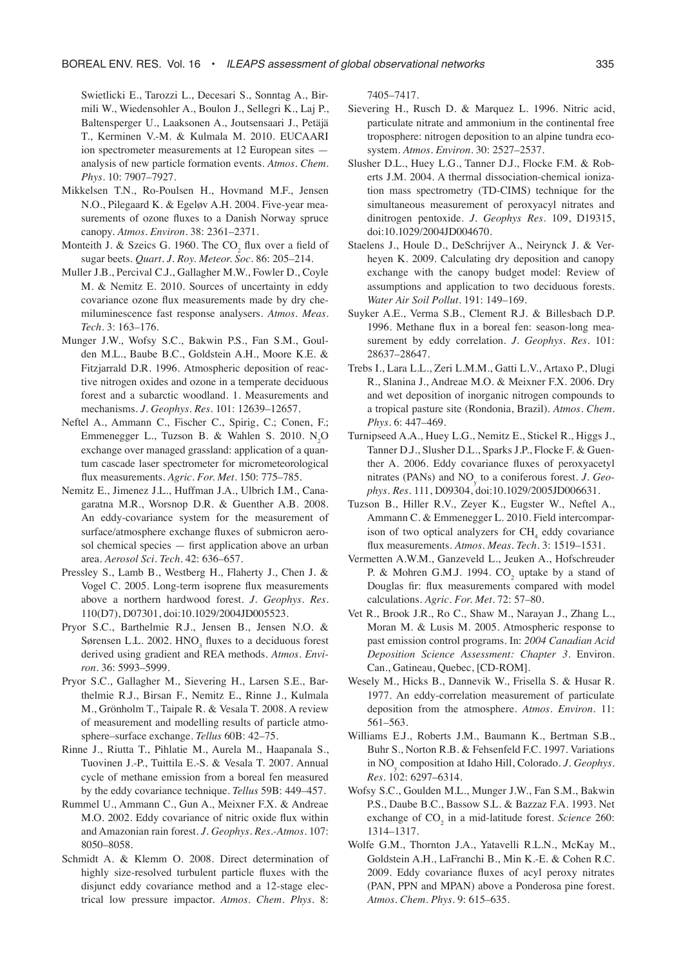Swietlicki E., Tarozzi L., Decesari S., Sonntag A., Birmili W., Wiedensohler A., Boulon J., Sellegri K., Laj P., Baltensperger U., Laaksonen A., Joutsensaari J., Petäjä T., Kerminen V.-M. & Kulmala M. 2010. EUCAARI ion spectrometer measurements at 12 European sites analysis of new particle formation events. *Atmos. Chem. Phys*. 10: 7907–7927.

- Mikkelsen T.N., Ro-Poulsen H., Hovmand M.F., Jensen N.O., Pilegaard K. & Egeløv A.H. 2004. Five-year measurements of ozone fluxes to a Danish Norway spruce canopy. *Atmos. Environ.* 38: 2361–2371.
- Monteith J. & Szeics G. 1960. The  $CO_2$  flux over a field of sugar beets. *Quart. J. Roy. Meteor. Soc.* 86: 205–214.
- Muller J.B., Percival C.J., Gallagher M.W., Fowler D., Coyle M. & Nemitz E. 2010. Sources of uncertainty in eddy covariance ozone flux measurements made by dry chemiluminescence fast response analysers. *Atmos. Meas. Tech.* 3: 163–176.
- Munger J.W., Wofsy S.C., Bakwin P.S., Fan S.M., Goulden M.L., Baube B.C., Goldstein A.H., Moore K.E. & Fitzjarrald D.R. 1996. Atmospheric deposition of reactive nitrogen oxides and ozone in a temperate deciduous forest and a subarctic woodland. 1. Measurements and mechanisms. *J. Geophys. Res.* 101: 12639–12657.
- Neftel A., Ammann C., Fischer C., Spirig, C.; Conen, F.; Emmenegger L., Tuzson B. & Wahlen S. 2010.  $N_2O$ exchange over managed grassland: application of a quantum cascade laser spectrometer for micrometeorological flux measurements. *Agric. For. Met.* 150: 775–785.
- Nemitz E., Jimenez J.L., Huffman J.A., Ulbrich I.M., Canagaratna M.R., Worsnop D.R. & Guenther A.B. 2008. An eddy-covariance system for the measurement of surface/atmosphere exchange fluxes of submicron aerosol chemical species — first application above an urban area. *Aerosol Sci. Tech.* 42: 636–657.
- Pressley S., Lamb B., Westberg H., Flaherty J., Chen J. & Vogel C. 2005. Long-term isoprene flux measurements above a northern hardwood forest. *J. Geophys. Res.*  110(D7), D07301, doi:10.1029/2004JD005523.
- Pryor S.C., Barthelmie R.J., Jensen B., Jensen N.O. & Sørensen L.L. 2002.  $HNO<sub>3</sub>$  fluxes to a deciduous forest derived using gradient and REA methods. *Atmos. Environ*. 36: 5993–5999.
- Pryor S.C., Gallagher M., Sievering H., Larsen S.E., Barthelmie R.J., Birsan F., Nemitz E., Rinne J., Kulmala M., Grönholm T., Taipale R. & Vesala T. 2008. A review of measurement and modelling results of particle atmosphere–surface exchange. *Tellus* 60B: 42–75.
- Rinne J., Riutta T., Pihlatie M., Aurela M., Haapanala S., Tuovinen J.-P., Tuittila E.-S. & Vesala T. 2007. Annual cycle of methane emission from a boreal fen measured by the eddy covariance technique. *Tellus* 59B: 449–457.
- Rummel U., Ammann C., Gun A., Meixner F.X. & Andreae M.O. 2002. Eddy covariance of nitric oxide flux within and Amazonian rain forest. *J. Geophys. Res.-Atmos.* 107: 8050–8058.
- Schmidt A. & Klemm O. 2008. Direct determination of highly size-resolved turbulent particle fluxes with the disjunct eddy covariance method and a 12-stage electrical low pressure impactor. *Atmos. Chem. Phys*. 8:

7405–7417.

- Sievering H., Rusch D. & Marquez L. 1996. Nitric acid, particulate nitrate and ammonium in the continental free troposphere: nitrogen deposition to an alpine tundra ecosystem. *Atmos. Environ.* 30: 2527–2537.
- Slusher D.L., Huey L.G., Tanner D.J., Flocke F.M. & Roberts J.M. 2004. A thermal dissociation-chemical ionization mass spectrometry (TD-CIMS) technique for the simultaneous measurement of peroxyacyl nitrates and dinitrogen pentoxide. *J. Geophys Res*. 109, D19315, doi:10.1029/2004JD004670.
- Staelens J., Houle D., DeSchrijver A., Neirynck J. & Verheyen K. 2009. Calculating dry deposition and canopy exchange with the canopy budget model: Review of assumptions and application to two deciduous forests. *Water Air Soil Pollut*. 191: 149–169.
- Suyker A.E., Verma S.B., Clement R.J. & Billesbach D.P. 1996. Methane flux in a boreal fen: season-long measurement by eddy correlation. *J. Geophys. Res.* 101: 28637–28647.
- Trebs I., Lara L.L., Zeri L.M.M., Gatti L.V., Artaxo P., Dlugi R., Slanina J., Andreae M.O. & Meixner F.X. 2006. Dry and wet deposition of inorganic nitrogen compounds to a tropical pasture site (Rondonia, Brazil). *Atmos. Chem. Phys.* 6: 447–469.
- Turnipseed A.A., Huey L.G., Nemitz E., Stickel R., Higgs J., Tanner D.J., Slusher D.L., Sparks J.P., Flocke F. & Guenther A. 2006. Eddy covariance fluxes of peroxyacetyl nitrates (PANs) and NOy to a coniferous forest. *J. Geophys. Res.* 111, D09304, doi:10.1029/2005JD006631.
- Tuzson B., Hiller R.V., Zeyer K., Eugster W., Neftel A., Ammann C. & Emmenegger L. 2010. Field intercomparison of two optical analyzers for  $CH<sub>4</sub>$  eddy covariance flux measurements. *Atmos. Meas. Tech.* 3: 1519–1531.
- Vermetten A.W.M., Ganzeveld L., Jeuken A., Hofschreuder P. & Mohren G.M.J. 1994.  $CO_2$  uptake by a stand of Douglas fir: flux measurements compared with model calculations. *Agric. For. Met.* 72: 57–80.
- Vet R., Brook J.R., Ro C., Shaw M., Narayan J., Zhang L., Moran M. & Lusis M. 2005. Atmospheric response to past emission control programs. In: *2004 Canadian Acid Deposition Science Assessment: Chapter 3*. Environ. Can., Gatineau, Quebec, [CD-ROM].
- Wesely M., Hicks B., Dannevik W., Frisella S. & Husar R. 1977. An eddy-correlation measurement of particulate deposition from the atmosphere. *Atmos. Environ.* 11: 561–563.
- Williams E.J., Roberts J.M., Baumann K., Bertman S.B., Buhr S., Norton R.B. & Fehsenfeld F.C. 1997. Variations in NOy composition at Idaho Hill, Colorado. *J. Geophys. Res.* 102: 6297–6314.
- Wofsy S.C., Goulden M.L., Munger J.W., Fan S.M., Bakwin P.S., Daube B.C., Bassow S.L. & Bazzaz F.A. 1993. Net exchange of CO<sub>2</sub> in a mid-latitude forest. *Science* 260: 1314–1317.
- Wolfe G.M., Thornton J.A., Yatavelli R.L.N., McKay M., Goldstein A.H., LaFranchi B., Min K.-E. & Cohen R.C. 2009. Eddy covariance fluxes of acyl peroxy nitrates (PAN, PPN and MPAN) above a Ponderosa pine forest. *Atmos. Chem. Phys.* 9: 615–635.